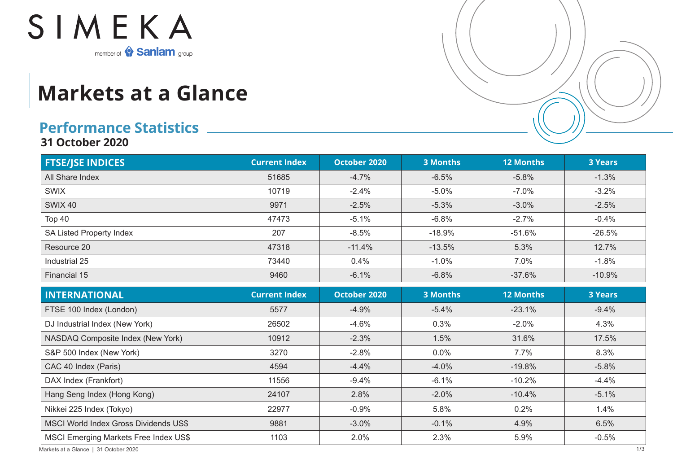

## **Markets at a Glance**

## **Performance Statistics**

**31 October 2020**

| <b>FTSE/JSE INDICES</b>                      | <b>Current Index</b> | October 2020 | <b>3 Months</b> | <b>12 Months</b> | <b>3 Years</b> |
|----------------------------------------------|----------------------|--------------|-----------------|------------------|----------------|
| All Share Index                              | 51685                | $-4.7%$      | $-6.5%$         | $-5.8%$          | $-1.3%$        |
| <b>SWIX</b>                                  | 10719                | $-2.4%$      | $-5.0%$         | $-7.0%$          | $-3.2%$        |
| <b>SWIX 40</b>                               | 9971                 | $-2.5%$      | $-5.3%$         | $-3.0%$          | $-2.5%$        |
| Top 40                                       | 47473                | $-5.1%$      | $-6.8%$         | $-2.7%$          | $-0.4%$        |
| SA Listed Property Index                     | 207                  | $-8.5%$      | $-18.9%$        | $-51.6%$         | $-26.5%$       |
| Resource 20                                  | 47318                | $-11.4%$     | $-13.5%$        | 5.3%             | 12.7%          |
| Industrial 25                                | 73440                | 0.4%         | $-1.0%$         | 7.0%             | $-1.8%$        |
| Financial 15                                 | 9460                 | $-6.1%$      | $-6.8%$         | $-37.6%$         | $-10.9%$       |
| <b>INTERNATIONAL</b>                         | <b>Current Index</b> | October 2020 | <b>3 Months</b> | <b>12 Months</b> | <b>3 Years</b> |
| FTSE 100 Index (London)                      | 5577                 | $-4.9%$      | $-5.4%$         | $-23.1%$         | $-9.4%$        |
| DJ Industrial Index (New York)               | 26502                | $-4.6%$      | 0.3%            | $-2.0%$          | 4.3%           |
| NASDAQ Composite Index (New York)            | 10912                | $-2.3%$      | 1.5%            | 31.6%            | 17.5%          |
| S&P 500 Index (New York)                     | 3270                 | $-2.8%$      | 0.0%            | 7.7%             | 8.3%           |
| CAC 40 Index (Paris)                         | 4594                 | $-4.4%$      | $-4.0%$         | $-19.8%$         | $-5.8%$        |
| DAX Index (Frankfort)                        | 11556                | $-9.4%$      | $-6.1%$         | $-10.2%$         | $-4.4%$        |
| Hang Seng Index (Hong Kong)                  | 24107                | 2.8%         | $-2.0%$         | $-10.4%$         | $-5.1%$        |
| Nikkei 225 Index (Tokyo)                     | 22977                | $-0.9%$      | 5.8%            | 0.2%             | 1.4%           |
| <b>MSCI World Index Gross Dividends US\$</b> | 9881                 | $-3.0%$      | $-0.1%$         | 4.9%             | 6.5%           |
| <b>MSCI Emerging Markets Free Index US\$</b> | 1103                 | 2.0%         | 2.3%            | 5.9%             | $-0.5%$        |

Markets at a Glance | 31 October 2020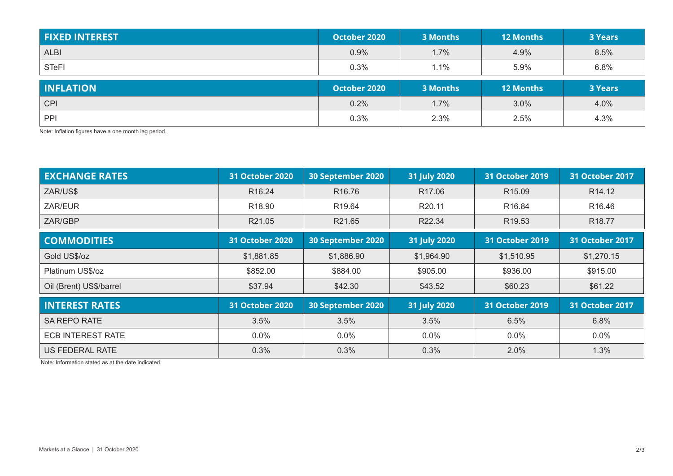| <b>FIXED INTEREST</b> | October 2020 | 3 Months | <b>12 Months</b> | <b>3 Years</b> |
|-----------------------|--------------|----------|------------------|----------------|
| <b>ALBI</b>           | 0.9%         | 1.7%     | 4.9%             | 8.5%           |
| <b>STeFI</b>          | 0.3%         | $1.1\%$  | 5.9%             | 6.8%           |
|                       |              |          |                  |                |
| <b>INFLATION</b>      | October 2020 | 3 Months | <b>12 Months</b> | <b>3 Years</b> |
| <b>CPI</b>            | 0.2%         | 1.7%     | 3.0%             | 4.0%           |

Note: Inflation figures have a one month lag period.

| <b>EXCHANGE RATES</b>    | <b>31 October 2020</b> | 30 September 2020  | 31 July 2020       | <b>31 October 2019</b> | 31 October 2017        |
|--------------------------|------------------------|--------------------|--------------------|------------------------|------------------------|
| ZAR/US\$                 | R <sub>16.24</sub>     | R <sub>16.76</sub> | R <sub>17.06</sub> | R <sub>15.09</sub>     | R <sub>14.12</sub>     |
| ZAR/EUR                  | R <sub>18.90</sub>     | R <sub>19.64</sub> | R20.11             | R <sub>16.84</sub>     | R <sub>16.46</sub>     |
| ZAR/GBP                  | R21.05                 | R21.65             | R22.34             | R <sub>19.53</sub>     | R <sub>18.77</sub>     |
| <b>COMMODITIES</b>       | <b>31 October 2020</b> | 30 September 2020  | 31 July 2020       | <b>31 October 2019</b> | <b>31 October 2017</b> |
| Gold US\$/oz             | \$1,881.85             | \$1,886.90         | \$1,964.90         | \$1,510.95             | \$1,270.15             |
| Platinum US\$/oz         | \$852.00               | \$884.00           | \$905.00           | \$936.00               | \$915.00               |
| Oil (Brent) US\$/barrel  | \$37.94                | \$42.30            | \$43.52            | \$60.23                | \$61.22                |
| <b>INTEREST RATES</b>    | <b>31 October 2020</b> | 30 September 2020  | 31 July 2020       | <b>31 October 2019</b> | <b>31 October 2017</b> |
| <b>SA REPO RATE</b>      | 3.5%                   | 3.5%               | 3.5%               | 6.5%                   | 6.8%                   |
| <b>ECB INTEREST RATE</b> | $0.0\%$                | $0.0\%$            | $0.0\%$            | $0.0\%$                | $0.0\%$                |
| US FEDERAL RATE          | 0.3%                   | 0.3%               | 0.3%               | $2.0\%$                | 1.3%                   |

Note: Information stated as at the date indicated.